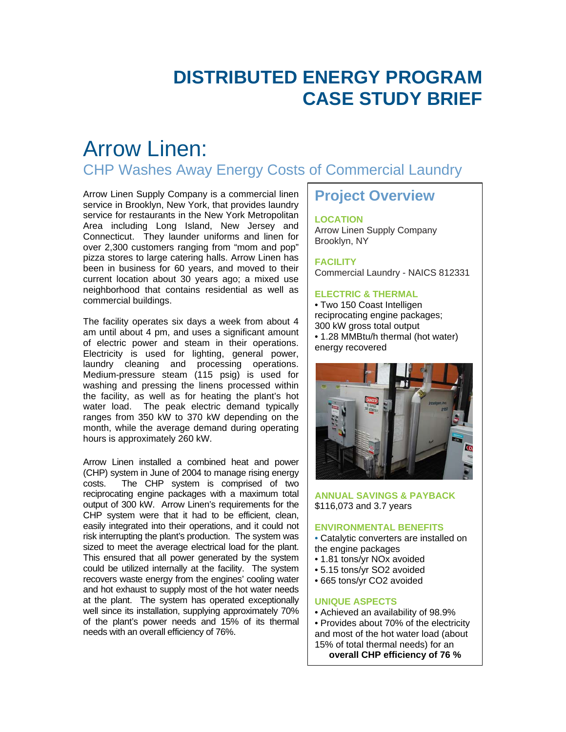# **DISTRIBUTED ENERGY PROGRAM CASE STUDY BRIEF**

## Arrow Linen: CHP Washes Away Energy Costs of Commercial Laundry

Arrow Linen Supply Company is a commercial linen service in Brooklyn, New York, that provides laundry service for restaurants in the New York Metropolitan Area including Long Island, New Jersey and Connecticut. They launder uniforms and linen for over 2,300 customers ranging from "mom and pop" pizza stores to large catering halls. Arrow Linen has been in business for 60 years, and moved to their current location about 30 years ago; a mixed use neighborhood that contains residential as well as commercial buildings.

The facility operates six days a week from about 4 am until about 4 pm, and uses a significant amount of electric power and steam in their operations. Electricity is used for lighting, general power, laundry cleaning and processing operations. Medium-pressure steam (115 psig) is used for washing and pressing the linens processed within the facility, as well as for heating the plant's hot water load. The peak electric demand typically ranges from 350 kW to 370 kW depending on the month, while the average demand during operating hours is approximately 260 kW.

Arrow Linen installed a combined heat and power (CHP) system in June of 2004 to manage rising energy costs. The CHP system is comprised of two reciprocating engine packages with a maximum total output of 300 kW. Arrow Linen's requirements for the CHP system were that it had to be efficient, clean, easily integrated into their operations, and it could not risk interrupting the plant's production. The system was sized to meet the average electrical load for the plant. This ensured that all power generated by the system could be utilized internally at the facility. The system recovers waste energy from the engines' cooling water and hot exhaust to supply most of the hot water needs at the plant. The system has operated exceptionally well since its installation, supplying approximately 70% of the plant's power needs and 15% of its thermal needs with an overall efficiency of 76%.

### **Project Overview**

#### **LOCATION**

Arrow Linen Supply Company Brooklyn, NY

**FACILITY**  Commercial Laundry - NAICS 812331

#### **ELECTRIC & THERMAL**

• Two 150 Coast Intelligen reciprocating engine packages; 300 kW gross total output • 1.28 MMBtu/h thermal (hot water) energy recovered



#### **ANNUAL SAVINGS & PAYBACK**  \$116,073 and 3.7 years

#### **ENVIRONMENTAL BENEFITS**

• Catalytic converters are installed on the engine packages

- 1.81 tons/yr NOx avoided
- 5.15 tons/yr SO2 avoided
- 665 tons/yr CO2 avoided

#### **UNIQUE ASPECTS**

• Achieved an availability of 98.9%

• Provides about 70% of the electricity and most of the hot water load (about 15% of total thermal needs) for an

**overall CHP efficiency of 76 %**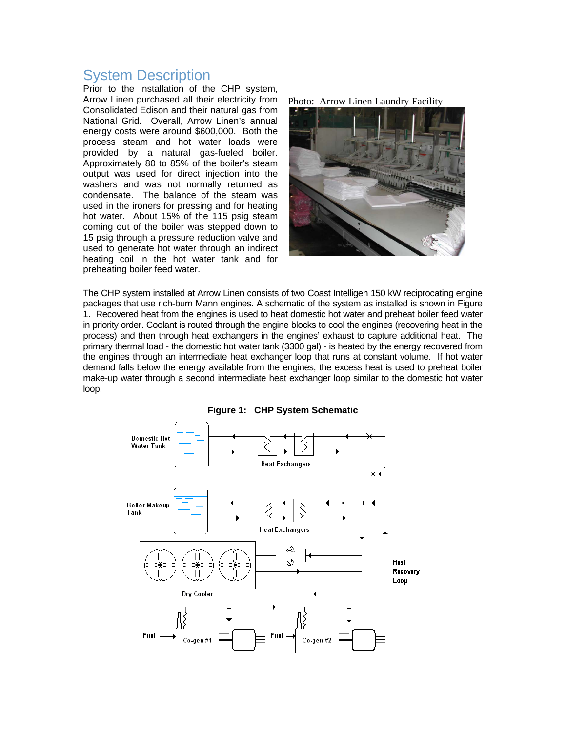### System Description

Prior to the installation of the CHP system, Arrow Linen purchased all their electricity from Consolidated Edison and their natural gas from National Grid. Overall, Arrow Linen's annual energy costs were around \$600,000. Both the process steam and hot water loads were provided by a natural gas-fueled boiler. Approximately 80 to 85% of the boiler's steam output was used for direct injection into the washers and was not normally returned as condensate. The balance of the steam was used in the ironers for pressing and for heating hot water. About 15% of the 115 psig steam coming out of the boiler was stepped down to 15 psig through a pressure reduction valve and used to generate hot water through an indirect heating coil in the hot water tank and for preheating boiler feed water.

Photo: Arrow Linen Laundry Facility



The CHP system installed at Arrow Linen consists of two Coast Intelligen 150 kW reciprocating engine packages that use rich-burn Mann engines. A schematic of the system as installed is shown in Figure 1. Recovered heat from the engines is used to heat domestic hot water and preheat boiler feed water in priority order. Coolant is routed through the engine blocks to cool the engines (recovering heat in the process) and then through heat exchangers in the engines' exhaust to capture additional heat. The primary thermal load - the domestic hot water tank (3300 gal) - is heated by the energy recovered from the engines through an intermediate heat exchanger loop that runs at constant volume. If hot water demand falls below the energy available from the engines, the excess heat is used to preheat boiler make-up water through a second intermediate heat exchanger loop similar to the domestic hot water loop.

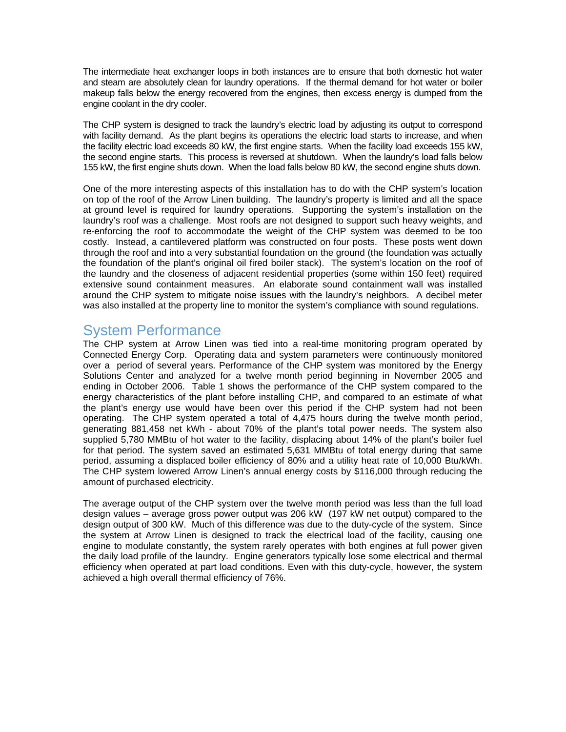The intermediate heat exchanger loops in both instances are to ensure that both domestic hot water and steam are absolutely clean for laundry operations. If the thermal demand for hot water or boiler makeup falls below the energy recovered from the engines, then excess energy is dumped from the engine coolant in the dry cooler.

The CHP system is designed to track the laundry's electric load by adjusting its output to correspond with facility demand. As the plant begins its operations the electric load starts to increase, and when the facility electric load exceeds 80 kW, the first engine starts. When the facility load exceeds 155 kW, the second engine starts. This process is reversed at shutdown. When the laundry's load falls below 155 kW, the first engine shuts down. When the load falls below 80 kW, the second engine shuts down.

One of the more interesting aspects of this installation has to do with the CHP system's location on top of the roof of the Arrow Linen building. The laundry's property is limited and all the space at ground level is required for laundry operations. Supporting the system's installation on the laundry's roof was a challenge. Most roofs are not designed to support such heavy weights, and re-enforcing the roof to accommodate the weight of the CHP system was deemed to be too costly. Instead, a cantilevered platform was constructed on four posts. These posts went down through the roof and into a very substantial foundation on the ground (the foundation was actually the foundation of the plant's original oil fired boiler stack). The system's location on the roof of the laundry and the closeness of adjacent residential properties (some within 150 feet) required extensive sound containment measures. An elaborate sound containment wall was installed around the CHP system to mitigate noise issues with the laundry's neighbors. A decibel meter was also installed at the property line to monitor the system's compliance with sound regulations.

## System Performance

The CHP system at Arrow Linen was tied into a real-time monitoring program operated by Connected Energy Corp. Operating data and system parameters were continuously monitored over a period of several years. Performance of the CHP system was monitored by the Energy Solutions Center and analyzed for a twelve month period beginning in November 2005 and ending in October 2006. Table 1 shows the performance of the CHP system compared to the energy characteristics of the plant before installing CHP, and compared to an estimate of what the plant's energy use would have been over this period if the CHP system had not been operating. The CHP system operated a total of 4,475 hours during the twelve month period, generating 881,458 net kWh - about 70% of the plant's total power needs. The system also supplied 5,780 MMBtu of hot water to the facility, displacing about 14% of the plant's boiler fuel for that period. The system saved an estimated 5,631 MMBtu of total energy during that same period, assuming a displaced boiler efficiency of 80% and a utility heat rate of 10,000 Btu/kWh. The CHP system lowered Arrow Linen's annual energy costs by \$116,000 through reducing the amount of purchased electricity.

The average output of the CHP system over the twelve month period was less than the full load design values – average gross power output was 206 kW (197 kW net output) compared to the design output of 300 kW. Much of this difference was due to the duty-cycle of the system. Since the system at Arrow Linen is designed to track the electrical load of the facility, causing one engine to modulate constantly, the system rarely operates with both engines at full power given the daily load profile of the laundry. Engine generators typically lose some electrical and thermal efficiency when operated at part load conditions. Even with this duty-cycle, however, the system achieved a high overall thermal efficiency of 76%.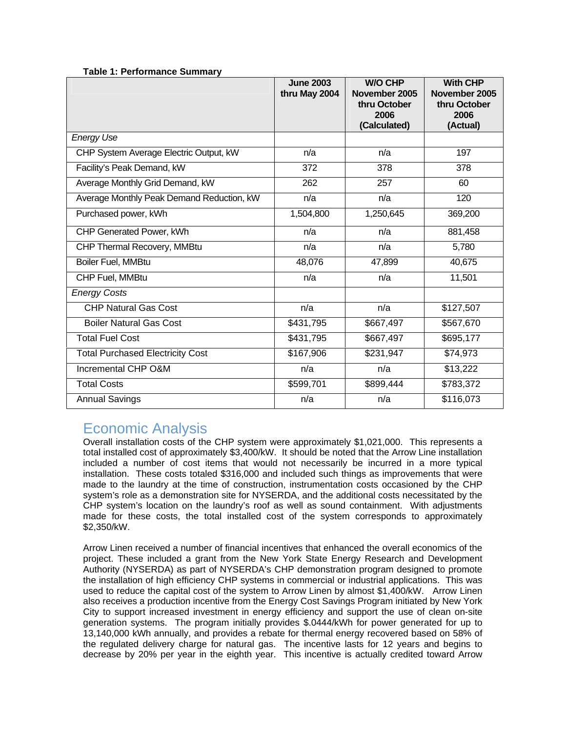|                                           | <b>June 2003</b><br>thru May 2004 | <b>W/O CHP</b><br>November 2005<br>thru October<br>2006<br>(Calculated) | <b>With CHP</b><br>November 2005<br>thru October<br>2006<br>(Actual) |
|-------------------------------------------|-----------------------------------|-------------------------------------------------------------------------|----------------------------------------------------------------------|
| <b>Energy Use</b>                         |                                   |                                                                         |                                                                      |
| CHP System Average Electric Output, kW    | n/a                               | n/a                                                                     | 197                                                                  |
| Facility's Peak Demand, kW                | 372                               | 378                                                                     | 378                                                                  |
| Average Monthly Grid Demand, kW           | 262                               | 257                                                                     | 60                                                                   |
| Average Monthly Peak Demand Reduction, kW | n/a                               | n/a                                                                     | 120                                                                  |
| Purchased power, kWh                      | 1,504,800                         | 1,250,645                                                               | 369,200                                                              |
| CHP Generated Power, kWh                  | n/a                               | n/a                                                                     | 881,458                                                              |
| CHP Thermal Recovery, MMBtu               | n/a                               | n/a                                                                     | 5,780                                                                |
| Boiler Fuel, MMBtu                        | 48,076                            | 47,899                                                                  | 40,675                                                               |
| CHP Fuel, MMBtu                           | n/a                               | n/a                                                                     | 11,501                                                               |
| <b>Energy Costs</b>                       |                                   |                                                                         |                                                                      |
| <b>CHP Natural Gas Cost</b>               | n/a                               | n/a                                                                     | \$127,507                                                            |
| <b>Boiler Natural Gas Cost</b>            | \$431,795                         | \$667,497                                                               | \$567,670                                                            |
| <b>Total Fuel Cost</b>                    | \$431,795                         | \$667,497                                                               | \$695,177                                                            |
| <b>Total Purchased Electricity Cost</b>   | \$167,906                         | \$231,947                                                               | \$74,973                                                             |
| Incremental CHP O&M                       | n/a                               | n/a                                                                     | \$13,222                                                             |
| <b>Total Costs</b>                        | \$599,701                         | \$899,444                                                               | \$783,372                                                            |
| <b>Annual Savings</b>                     | n/a                               | n/a                                                                     | \$116,073                                                            |

### **Table 1: Performance Summary**

## Economic Analysis

Overall installation costs of the CHP system were approximately \$1,021,000. This represents a total installed cost of approximately \$3,400/kW. It should be noted that the Arrow Line installation included a number of cost items that would not necessarily be incurred in a more typical installation. These costs totaled \$316,000 and included such things as improvements that were made to the laundry at the time of construction, instrumentation costs occasioned by the CHP system's role as a demonstration site for NYSERDA, and the additional costs necessitated by the CHP system's location on the laundry's roof as well as sound containment. With adjustments made for these costs, the total installed cost of the system corresponds to approximately \$2,350/kW.

Arrow Linen received a number of financial incentives that enhanced the overall economics of the project. These included a grant from the New York State Energy Research and Development Authority (NYSERDA) as part of NYSERDA's CHP demonstration program designed to promote the installation of high efficiency CHP systems in commercial or industrial applications. This was used to reduce the capital cost of the system to Arrow Linen by almost \$1,400/kW. Arrow Linen also receives a production incentive from the Energy Cost Savings Program initiated by New York City to support increased investment in energy efficiency and support the use of clean on-site generation systems. The program initially provides \$.0444/kWh for power generated for up to 13,140,000 kWh annually, and provides a rebate for thermal energy recovered based on 58% of the regulated delivery charge for natural gas. The incentive lasts for 12 years and begins to decrease by 20% per year in the eighth year. This incentive is actually credited toward Arrow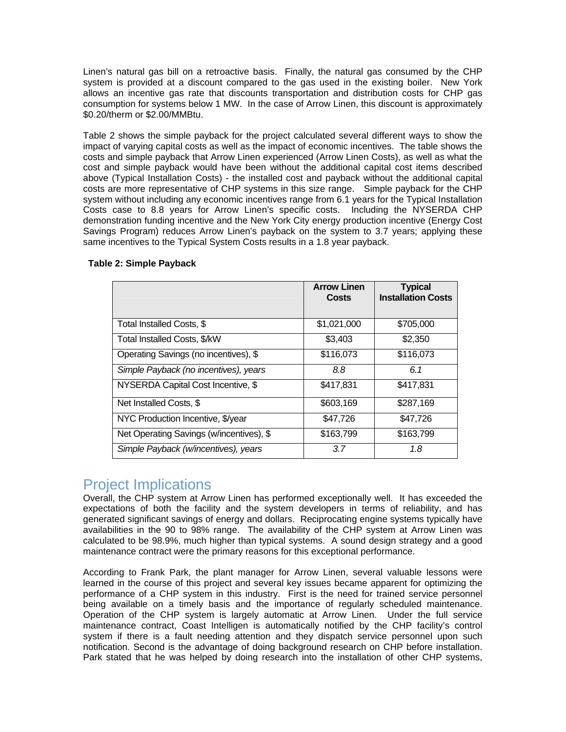Linen's natural gas bill on a retroactive basis. Finally, the natural gas consumed by the CHP system is provided at a discount compared to the gas used in the existing boiler. New York allows an incentive gas rate that discounts transportation and distribution costs for CHP gas consumption for systems below 1 MW. In the case of Arrow Linen, this discount is approximately \$0.20/therm or \$2.00/MMBtu.

Table 2 shows the simple payback for the project calculated several different ways to show the impact of varying capital costs as well as the impact of economic incentives. The table shows the costs and simple payback that Arrow Linen experienced (Arrow Linen Costs), as well as what the cost and simple payback would have been without the additional capital cost items described above (Typical Installation Costs) - the installed cost and payback without the additional capital costs are more representative of CHP systems in this size range. Simple payback for the CHP system without including any economic incentives range from 6.1 years for the Typical Installation Costs case to 8.8 years for Arrow Linen's specific costs. Including the NYSERDA CHP demonstration funding incentive and the New York City energy production incentive (Energy Cost Savings Program) reduces Arrow Linen's payback on the system to 3.7 years; applying these same incentives to the Typical System Costs results in a 1.8 year payback.

|                                          | <b>Arrow Linen</b><br>Costs | <b>Typical</b><br><b>Installation Costs</b> |
|------------------------------------------|-----------------------------|---------------------------------------------|
|                                          |                             |                                             |
| Total Installed Costs, \$                | \$1,021,000                 | \$705,000                                   |
| Total Installed Costs, \$/kW             | \$3,403                     | \$2,350                                     |
| Operating Savings (no incentives), \$    | \$116,073                   | \$116,073                                   |
| Simple Payback (no incentives), years    | 8.8                         | 6.1                                         |
| NYSERDA Capital Cost Incentive, \$       | \$417,831                   | \$417,831                                   |
| Net Installed Costs, \$                  | \$603,169                   | \$287,169                                   |
| NYC Production Incentive, \$/year        | \$47,726                    | \$47,726                                    |
| Net Operating Savings (w/incentives), \$ | \$163,799                   | \$163,799                                   |
| Simple Payback (w/incentives), years     | 3.7                         | 1.8                                         |

#### **Table 2: Simple Payback**

### Project Implications

Overall, the CHP system at Arrow Linen has performed exceptionally well. It has exceeded the expectations of both the facility and the system developers in terms of reliability, and has generated significant savings of energy and dollars. Reciprocating engine systems typically have availabilities in the 90 to 98% range. The availability of the CHP system at Arrow Linen was calculated to be 98.9%, much higher than typical systems. A sound design strategy and a good maintenance contract were the primary reasons for this exceptional performance.

According to Frank Park, the plant manager for Arrow Linen, several valuable lessons were learned in the course of this project and several key issues became apparent for optimizing the performance of a CHP system in this industry. First is the need for trained service personnel being available on a timely basis and the importance of regularly scheduled maintenance. Operation of the CHP system is largely automatic at Arrow Linen. Under the full service maintenance contract, Coast Intelligen is automatically notified by the CHP facility's control system if there is a fault needing attention and they dispatch service personnel upon such notification. Second is the advantage of doing background research on CHP before installation. Park stated that he was helped by doing research into the installation of other CHP systems,